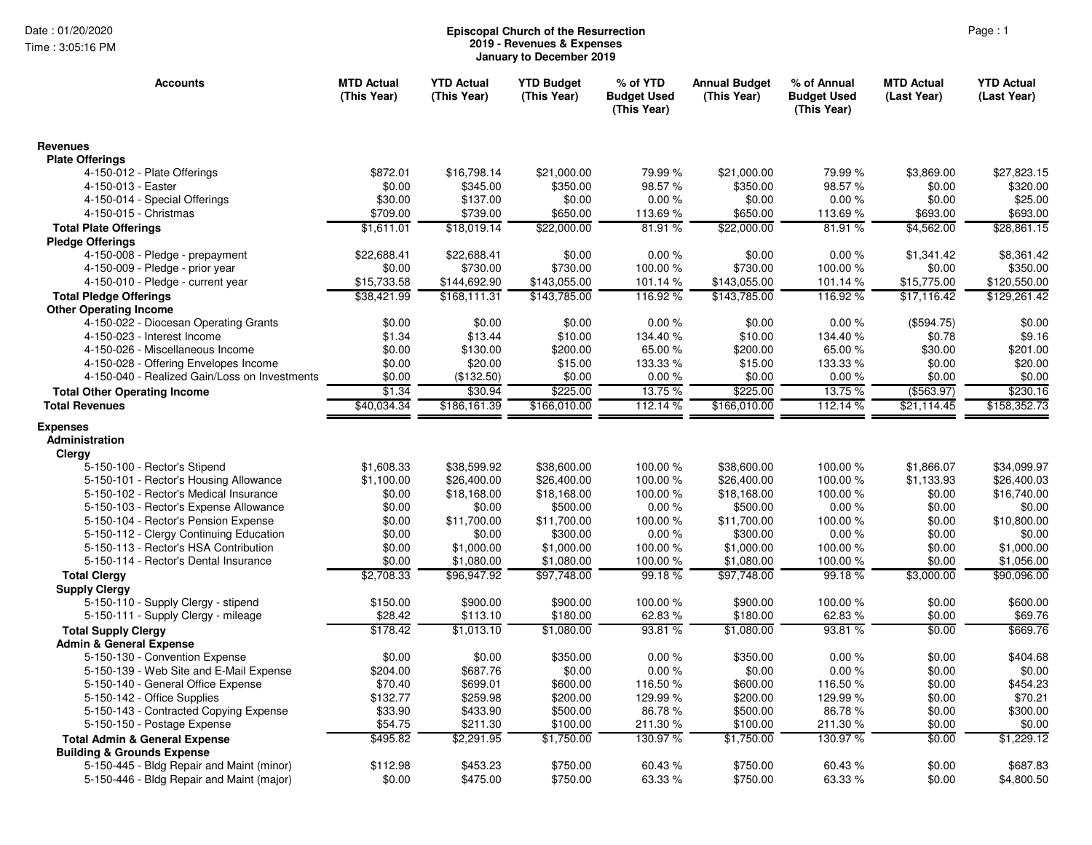Time : 3:05:16 PM

## Page : 1 **Episcopal Church of the Resurrection 2019 - Revenues & Expenses January to December 2019**

| <b>Accounts</b>                                                                        | <b>MTD Actual</b><br>(This Year) | <b>YTD Actual</b><br>(This Year) | <b>YTD Budget</b><br>(This Year) | % of YTD<br><b>Budget Used</b><br>(This Year) | <b>Annual Budget</b><br>(This Year) | % of Annual<br><b>Budget Used</b><br>(This Year) | <b>MTD Actual</b><br>(Last Year) | <b>YTD Actual</b><br>(Last Year) |
|----------------------------------------------------------------------------------------|----------------------------------|----------------------------------|----------------------------------|-----------------------------------------------|-------------------------------------|--------------------------------------------------|----------------------------------|----------------------------------|
| <b>Revenues</b>                                                                        |                                  |                                  |                                  |                                               |                                     |                                                  |                                  |                                  |
| <b>Plate Offerings</b>                                                                 |                                  |                                  |                                  |                                               |                                     |                                                  |                                  |                                  |
| 4-150-012 - Plate Offerings                                                            | \$872.01                         | \$16,798.14                      | \$21,000.00                      | 79.99 %                                       | \$21,000.00                         | 79.99 %                                          | \$3,869.00                       | \$27,823.15                      |
| 4-150-013 - Easter                                                                     | \$0.00                           | \$345.00                         | \$350.00                         | 98.57%                                        | \$350.00                            | 98.57%                                           | \$0.00                           | \$320.00                         |
| 4-150-014 - Special Offerings<br>4-150-015 - Christmas                                 | \$30.00<br>\$709.00              | \$137.00<br>\$739.00             | \$0.00<br>\$650.00               | 0.00%<br>113.69%                              | \$0.00<br>\$650.00                  | 0.00%<br>113.69%                                 | \$0.00<br>\$693.00               | \$25.00<br>\$693.00              |
|                                                                                        |                                  | \$18,019.14                      |                                  | 81.91%                                        |                                     | 81.91%                                           |                                  |                                  |
| <b>Total Plate Offerings</b>                                                           | \$1,611.01                       |                                  | \$22,000.00                      |                                               | \$22,000.00                         |                                                  | \$4,562.00                       | \$28,861.15                      |
| <b>Pledge Offerings</b><br>4-150-008 - Pledge - prepayment                             | \$22,688.41                      | \$22,688.41                      | \$0.00                           | 0.00%                                         | \$0.00                              | 0.00%                                            | \$1,341.42                       | \$8,361.42                       |
| 4-150-009 - Pledge - prior year                                                        | \$0.00                           | \$730.00                         | \$730.00                         | 100.00%                                       | \$730.00                            | 100.00%                                          | \$0.00                           | \$350.00                         |
| 4-150-010 - Pledge - current year                                                      | \$15,733.58                      | \$144,692.90                     | \$143,055.00                     | 101.14 %                                      | \$143,055.00                        | 101.14 %                                         | \$15,775.00                      | \$120,550.00                     |
| <b>Total Pledge Offerings</b>                                                          | \$38,421.99                      | \$168,111.31                     | \$143,785.00                     | 116.92%                                       | \$143,785.00                        | 116.92%                                          | \$17,116.42                      | \$129,261.42                     |
| <b>Other Operating Income</b>                                                          |                                  |                                  |                                  |                                               |                                     |                                                  |                                  |                                  |
| 4-150-022 - Diocesan Operating Grants                                                  | \$0.00                           | \$0.00                           | \$0.00                           | 0.00%                                         | \$0.00                              | 0.00%                                            | (\$594.75)                       | \$0.00                           |
| 4-150-023 - Interest Income                                                            | \$1.34                           | \$13.44                          | \$10.00                          | 134.40 %                                      | \$10.00                             | 134.40 %                                         | \$0.78                           | \$9.16                           |
| 4-150-026 - Miscellaneous Income                                                       | \$0.00                           | \$130.00                         | \$200.00                         | 65.00 %                                       | \$200.00                            | 65.00 %                                          | \$30.00                          | \$201.00                         |
| 4-150-028 - Offering Envelopes Income                                                  | \$0.00                           | \$20.00                          | \$15.00                          | 133.33 %                                      | \$15.00                             | 133.33 %                                         | \$0.00                           | \$20.00                          |
| 4-150-040 - Realized Gain/Loss on Investments                                          | \$0.00                           | (\$132.50)                       | \$0.00                           | 0.00%                                         | \$0.00                              | 0.00%                                            | \$0.00                           | \$0.00                           |
| <b>Total Other Operating Income</b>                                                    | \$1.34                           | \$30.94                          | \$225.00                         | 13.75 %                                       | \$225.00                            | 13.75 %                                          | ( \$563.97)                      | \$230.16                         |
| <b>Total Revenues</b>                                                                  | \$40,034.34                      | \$186,161.39                     | \$166,010.00                     | 112.14 %                                      | \$166,010.00                        | 112.14 %                                         | \$21,114.45                      | \$158,352.73                     |
| <b>Expenses</b><br>Administration<br>Clergy<br>5-150-100 - Rector's Stipend            | \$1,608.33                       | \$38,599.92                      | \$38,600.00                      | 100.00 %                                      | \$38,600.00                         | 100.00%                                          | \$1,866.07                       | \$34,099.97                      |
| 5-150-101 - Rector's Housing Allowance                                                 | \$1,100.00                       | \$26,400.00                      | \$26,400.00                      | 100.00 %                                      | \$26,400.00                         | 100.00 %                                         | \$1,133.93                       | \$26,400.03                      |
| 5-150-102 - Rector's Medical Insurance                                                 | \$0.00                           | \$18,168.00                      | \$18,168.00                      | 100.00 %                                      | \$18,168.00                         | 100.00 %                                         | \$0.00                           | \$16,740.00                      |
| 5-150-103 - Rector's Expense Allowance                                                 | \$0.00                           | \$0.00                           | \$500.00                         | 0.00%                                         | \$500.00                            | 0.00%                                            | \$0.00                           | \$0.00                           |
| 5-150-104 - Rector's Pension Expense                                                   | \$0.00                           | \$11,700.00                      | \$11,700.00                      | 100.00 %                                      | \$11,700.00                         | 100.00 %                                         | \$0.00                           | \$10,800.00                      |
| 5-150-112 - Clergy Continuing Education                                                | \$0.00                           | \$0.00                           | \$300.00                         | 0.00%                                         | \$300.00                            | 0.00%                                            | \$0.00                           | \$0.00                           |
| 5-150-113 - Rector's HSA Contribution                                                  | \$0.00                           | \$1,000.00                       | \$1,000.00                       | 100.00 %                                      | \$1,000.00                          | 100.00 %                                         | \$0.00                           | \$1,000.00                       |
| 5-150-114 - Rector's Dental Insurance                                                  | \$0.00                           | \$1,080.00                       | \$1,080.00                       | 100.00 %                                      | \$1,080.00                          | 100.00%                                          | \$0.00                           | \$1,056.00                       |
| <b>Total Clergy</b>                                                                    | \$2,708.33                       | \$96,947.92                      | \$97,748.00                      | 99.18%                                        | \$97,748.00                         | 99.18%                                           | \$3,000.00                       | \$90,096.00                      |
| <b>Supply Clergy</b>                                                                   |                                  |                                  |                                  |                                               |                                     |                                                  |                                  |                                  |
| 5-150-110 - Supply Clergy - stipend                                                    | \$150.00                         | \$900.00                         | \$900.00                         | 100.00%                                       | \$900.00                            | 100.00%                                          | \$0.00                           | \$600.00                         |
| 5-150-111 - Supply Clergy - mileage                                                    | \$28.42                          | \$113.10                         | \$180.00                         | 62.83%                                        | \$180.00                            | 62.83%                                           | \$0.00                           | \$69.76                          |
| <b>Total Supply Clergy</b>                                                             | \$178.42                         | \$1,013.10                       | \$1,080.00                       | 93.81 %                                       | \$1,080.00                          | 93.81%                                           | \$0.00                           | \$669.76                         |
| <b>Admin &amp; General Expense</b>                                                     |                                  |                                  |                                  |                                               |                                     |                                                  |                                  |                                  |
| 5-150-130 - Convention Expense                                                         | \$0.00                           | \$0.00                           | \$350.00                         | 0.00%                                         | \$350.00                            | 0.00%                                            | \$0.00                           | \$404.68                         |
| 5-150-139 - Web Site and E-Mail Expense                                                | \$204.00                         | \$687.76                         | \$0.00                           | 0.00%                                         | \$0.00                              | 0.00%                                            | \$0.00                           | \$0.00                           |
| 5-150-140 - General Office Expense                                                     | \$70.40                          | \$699.01                         | \$600.00                         | 116.50%                                       | \$600.00                            | 116.50%                                          | \$0.00                           | \$454.23                         |
| 5-150-142 - Office Supplies                                                            | \$132.77                         | \$259.98                         | \$200.00                         | 129.99 %                                      | \$200.00                            | 129.99%                                          | \$0.00                           | \$70.21                          |
| 5-150-143 - Contracted Copying Expense                                                 | \$33.90                          | \$433.90                         | \$500.00                         | 86.78%                                        | \$500.00                            | 86.78%                                           | \$0.00                           | \$300.00                         |
| 5-150-150 - Postage Expense                                                            | \$54.75                          | \$211.30                         | \$100.00                         | 211.30%                                       | \$100.00                            | 211.30%                                          | \$0.00                           | \$0.00                           |
| <b>Total Admin &amp; General Expense</b>                                               | \$495.82                         | \$2,291.95                       | \$1,750.00                       | 130.97 %                                      | \$1,750.00                          | 130.97%                                          | \$0.00                           | \$1,229.12                       |
| <b>Building &amp; Grounds Expense</b>                                                  |                                  |                                  |                                  |                                               |                                     |                                                  |                                  |                                  |
| 5-150-445 - Bldg Repair and Maint (minor)<br>5-150-446 - Bldg Repair and Maint (major) | \$112.98<br>\$0.00               | \$453.23<br>\$475.00             | \$750.00<br>\$750.00             | 60.43%<br>63.33 %                             | \$750.00<br>\$750.00                | 60.43%<br>63.33 %                                | \$0.00<br>\$0.00                 | \$687.83<br>\$4,800.50           |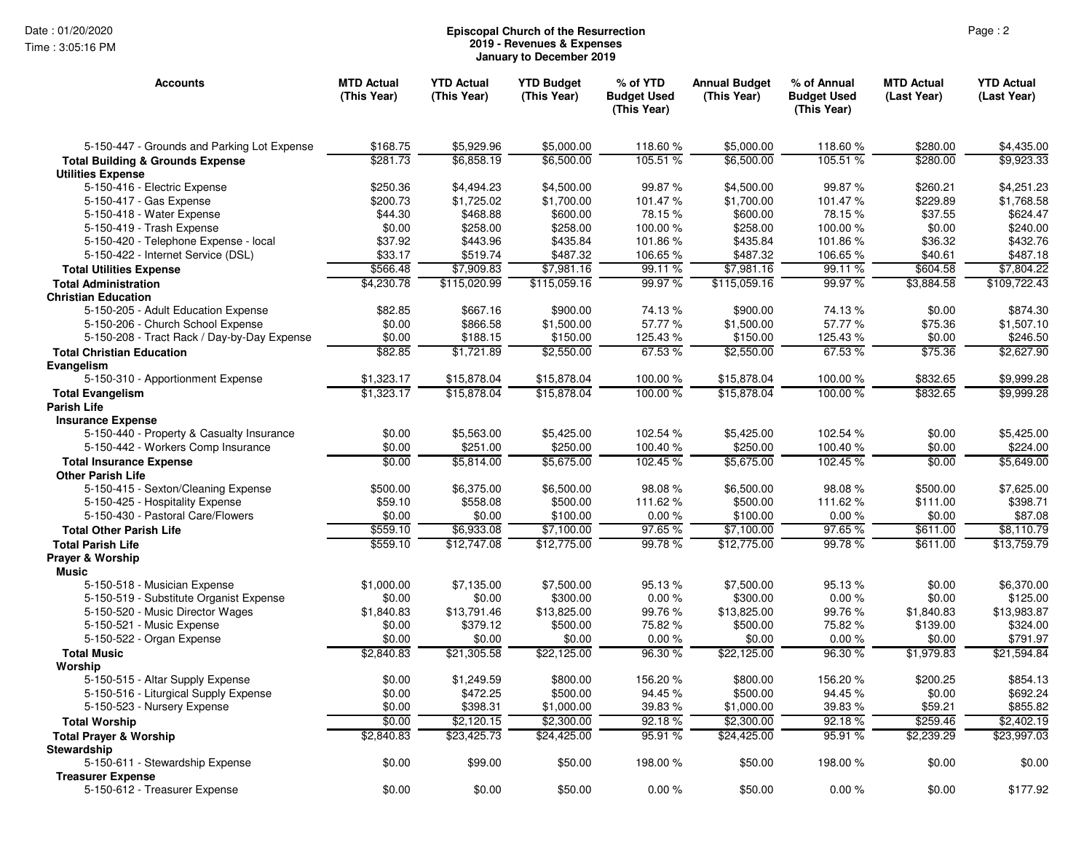Time : 3:05:16 PM

## Page : 2 **Episcopal Church of the Resurrection 2019 - Revenues & Expenses January to December 2019**

| Accounts                                        | <b>MTD Actual</b><br>(This Year) | <b>YTD Actual</b><br>(This Year) | <b>YTD Budget</b><br>(This Year) | % of YTD<br><b>Budget Used</b><br>(This Year) | <b>Annual Budget</b><br>(This Year) | % of Annual<br><b>Budget Used</b><br>(This Year) | <b>MTD Actual</b><br>(Last Year) | <b>YTD Actual</b><br>(Last Year) |
|-------------------------------------------------|----------------------------------|----------------------------------|----------------------------------|-----------------------------------------------|-------------------------------------|--------------------------------------------------|----------------------------------|----------------------------------|
| 5-150-447 - Grounds and Parking Lot Expense     | \$168.75                         | \$5,929.96                       | \$5,000.00                       | 118.60 %                                      | \$5,000.00                          | 118.60%                                          | \$280.00                         | \$4,435.00                       |
| <b>Total Building &amp; Grounds Expense</b>     | \$281.73                         | \$6,858.19                       | \$6,500.00                       | 105.51 %                                      | \$6,500.00                          | 105.51 %                                         | \$280.00                         | \$9,923.33                       |
| <b>Utilities Expense</b>                        |                                  |                                  |                                  |                                               |                                     |                                                  |                                  |                                  |
| 5-150-416 - Electric Expense                    | \$250.36                         | \$4,494.23                       | \$4,500.00                       | 99.87 %                                       | \$4,500.00                          | 99.87 %                                          | \$260.21                         | \$4,251.23                       |
| 5-150-417 - Gas Expense                         | \$200.73                         | \$1,725.02                       | \$1,700.00                       | 101.47%                                       | \$1,700.00                          | 101.47%                                          | \$229.89                         | \$1,768.58                       |
| 5-150-418 - Water Expense                       | \$44.30                          | \$468.88                         | \$600.00                         | 78.15%                                        | \$600.00                            | 78.15%                                           | \$37.55                          | \$624.47                         |
| 5-150-419 - Trash Expense                       | \$0.00                           | \$258.00                         | \$258.00                         | 100.00%                                       | \$258.00                            | 100.00%                                          | \$0.00                           | \$240.00                         |
| 5-150-420 - Telephone Expense - local           | \$37.92                          | \$443.96                         | \$435.84                         | 101.86%                                       | \$435.84                            | 101.86%                                          | \$36.32                          | \$432.76                         |
| 5-150-422 - Internet Service (DSL)              | \$33.17                          | \$519.74                         | \$487.32                         | 106.65%                                       | \$487.32                            | 106.65%                                          | \$40.61                          | \$487.18                         |
| <b>Total Utilities Expense</b>                  | \$566.48                         | \$7,909.83                       | \$7,981.16                       | 99.11 %                                       | \$7,981.16                          | 99.11 %                                          | \$604.58                         | \$7,804.22                       |
| <b>Total Administration</b>                     | \$4,230.78                       | \$115,020.99                     | \$115,059.16                     | 99.97%                                        | \$115,059.16                        | 99.97 %                                          | \$3,884.58                       | \$109,722.43                     |
| <b>Christian Education</b>                      |                                  |                                  |                                  |                                               |                                     |                                                  |                                  |                                  |
| 5-150-205 - Adult Education Expense             | \$82.85                          | \$667.16                         | \$900.00                         | 74.13%                                        | \$900.00                            | 74.13%                                           | \$0.00                           | \$874.30                         |
| 5-150-206 - Church School Expense               | \$0.00                           | \$866.58                         | \$1,500.00                       | 57.77 %                                       | \$1,500.00                          | 57.77 %                                          | \$75.36                          | \$1,507.10                       |
| 5-150-208 - Tract Rack / Day-by-Day Expense     | \$0.00                           | \$188.15                         | \$150.00                         | 125.43 %                                      | \$150.00                            | 125.43%                                          | \$0.00                           | \$246.50                         |
| <b>Total Christian Education</b>                | \$82.85                          | \$1,721.89                       | \$2,550.00                       | 67.53 %                                       | \$2,550.00                          | 67.53 %                                          | \$75.36                          | \$2,627.90                       |
| Evangelism<br>5-150-310 - Apportionment Expense | \$1,323.17                       | \$15,878.04                      | \$15,878.04                      | 100.00 %                                      | \$15,878.04                         | 100.00%                                          | \$832.65                         | \$9,999.28                       |
| <b>Total Evangelism</b>                         | \$1,323.17                       | \$15,878.04                      | \$15,878.04                      | 100.00%                                       | \$15,878.04                         | 100.00 %                                         | \$832.65                         | \$9,999.28                       |
| <b>Parish Life</b>                              |                                  |                                  |                                  |                                               |                                     |                                                  |                                  |                                  |
| <b>Insurance Expense</b>                        |                                  |                                  |                                  |                                               |                                     |                                                  |                                  |                                  |
| 5-150-440 - Property & Casualty Insurance       | \$0.00                           | \$5.563.00                       | \$5,425.00                       | 102.54 %                                      | \$5,425.00                          | 102.54 %                                         | \$0.00                           | \$5,425.00                       |
| 5-150-442 - Workers Comp Insurance              | \$0.00                           | \$251.00                         | \$250.00                         | 100.40 %                                      | \$250.00                            | 100.40%                                          | \$0.00                           | \$224.00                         |
| <b>Total Insurance Expense</b>                  | \$0.00                           | \$5,814.00                       | \$5,675.00                       | 102.45%                                       | \$5,675.00                          | 102.45%                                          | \$0.00                           | \$5,649.00                       |
| <b>Other Parish Life</b>                        |                                  |                                  |                                  |                                               |                                     |                                                  |                                  |                                  |
| 5-150-415 - Sexton/Cleaning Expense             | \$500.00                         | \$6,375.00                       | \$6,500.00                       | 98.08%                                        | \$6,500.00                          | 98.08%                                           | \$500.00                         | \$7,625.00                       |
| 5-150-425 - Hospitality Expense                 | \$59.10                          | \$558.08                         | \$500.00                         | 111.62 %                                      | \$500.00                            | 111.62 %                                         | \$111.00                         | \$398.71                         |
| 5-150-430 - Pastoral Care/Flowers               | \$0.00                           | \$0.00                           | \$100.00                         | 0.00%                                         | \$100.00                            | 0.00%                                            | \$0.00                           | \$87.08                          |
| <b>Total Other Parish Life</b>                  | \$559.10                         | \$6,933.08                       | \$7,100.00                       | 97.65%                                        | \$7,100.00                          | 97.65%                                           | \$611.00                         | \$8,110.79                       |
| <b>Total Parish Life</b>                        | \$559.10                         | \$12,747.08                      | \$12,775.00                      | 99.78%                                        | \$12,775.00                         | 99.78 %                                          | \$611.00                         | \$13,759.79                      |
| <b>Prayer &amp; Worship</b><br><b>Music</b>     |                                  |                                  |                                  |                                               |                                     |                                                  |                                  |                                  |
| 5-150-518 - Musician Expense                    | \$1,000.00                       | \$7,135.00                       | \$7,500.00                       | 95.13 %                                       | \$7,500.00                          | 95.13 %                                          | \$0.00                           | \$6,370.00                       |
| 5-150-519 - Substitute Organist Expense         | \$0.00                           | \$0.00                           | \$300.00                         | 0.00%                                         | \$300.00                            | 0.00%                                            | \$0.00                           | \$125.00                         |
| 5-150-520 - Music Director Wages                | \$1,840.83                       | \$13,791.46                      | \$13,825.00                      | 99.76%                                        | \$13,825.00                         | 99.76%                                           | \$1,840.83                       | \$13,983.87                      |
| 5-150-521 - Music Expense                       | \$0.00                           | \$379.12                         | \$500.00                         | 75.82 %                                       | \$500.00                            | 75.82 %                                          | \$139.00                         | \$324.00                         |
| 5-150-522 - Organ Expense                       | \$0.00                           | \$0.00                           | \$0.00                           | 0.00%                                         | \$0.00                              | 0.00%                                            | \$0.00                           | \$791.97                         |
| <b>Total Music</b>                              | \$2,840.83                       | \$21,305.58                      | \$22,125.00                      | 96.30%                                        | \$22,125.00                         | 96.30%                                           | \$1,979.83                       | \$21,594.84                      |
| Worship                                         |                                  |                                  |                                  |                                               |                                     |                                                  |                                  |                                  |
| 5-150-515 - Altar Supply Expense                | \$0.00                           | \$1,249.59                       | \$800.00                         | 156.20 %                                      | \$800.00                            | 156.20%                                          | \$200.25                         | \$854.13                         |
| 5-150-516 - Liturgical Supply Expense           | \$0.00                           | \$472.25                         | \$500.00                         | 94.45 %                                       | \$500.00                            | 94.45 %                                          | \$0.00                           | \$692.24                         |
| 5-150-523 - Nursery Expense                     | \$0.00                           | \$398.31                         | \$1,000.00                       | 39.83 %                                       | \$1,000.00                          | 39.83 %                                          | \$59.21                          | \$855.82                         |
| <b>Total Worship</b>                            | \$0.00                           | \$2,120.15                       | \$2,300.00                       | 92.18%                                        | \$2,300.00                          | 92.18%                                           | \$259.46                         | \$2,402.19                       |
| <b>Total Prayer &amp; Worship</b>               | \$2,840.83                       | \$23,425.73                      | \$24,425.00                      | 95.91%                                        | \$24,425.00                         | 95.91 %                                          | \$2,239.29                       | \$23,997.03                      |
| Stewardship                                     |                                  |                                  |                                  |                                               |                                     |                                                  |                                  |                                  |
| 5-150-611 - Stewardship Expense                 | \$0.00                           | \$99.00                          | \$50.00                          | 198.00 %                                      | \$50.00                             | 198.00 %                                         | \$0.00                           | \$0.00                           |
| <b>Treasurer Expense</b>                        |                                  |                                  |                                  |                                               |                                     |                                                  |                                  |                                  |
| 5-150-612 - Treasurer Expense                   | \$0.00                           | \$0.00                           | \$50.00                          | 0.00%                                         | \$50.00                             | 0.00%                                            | \$0.00                           | \$177.92                         |